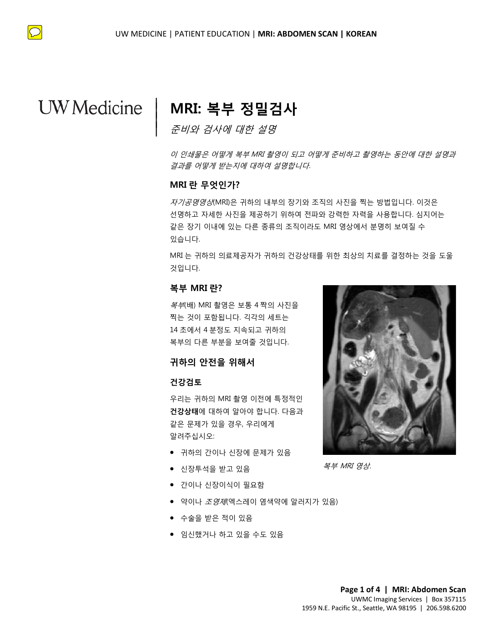$\bigcirc$ 

# **MRI: 복부 정밀검사**

준비와 검사에 대한 설명

이 인쇄물은 어떻게 복부 MRI 촬영이 되고 어떻게 준비하고 촬영하는 동안에 대한 설명과 결과를 어떻게 받는지에 대하여 설명합니다.

### **MRI 란 무엇인가?**

|  $\vert$  $\vert$  $\vert$ 

같은 장기 이내에 있는 다른 종류의 조직이라도 MRI 영상에서 분명히 보여질 수<br>있습니다.<br>MRI 는 귀하의 의료제공자가 귀하의 건강상태를 위한 최상의 치료를 결정하는 것을<br>것입니다.<br>**복부 MRI 란?**<br>*복부*(배) MRI 촬영은 보통 4짝의 사진을 **MRI 란 무엇인가?**<br>*자기공명영상*(MRI)은 귀하의 내부의 장기와 조직의 사진을 찍는 방법입니다. 이것은<br>선명하고 자세한 사진을 제공하기 위하여 전파와 강력한 자력을 사용합니다. 심지어<del>.</del> *자기공명영상*(MRI)은 귀하의 내부의 장기와 조직의 사진을 찍는 방법입니다. 이것은 선명하고 자세한 사진을 제공하기 위하여 전파와 강력한 자력을 사용합니다. 심지어는 같은 장기 이내에 있는 다른 종류의 조직이라도 MRI 영상에서 분명히 보여질 수 있습니다.

MRI 는 귀하의 의료제공자가 귀하의 건강상태를 위한 최상의 치료를 결정하는 것을 도울 것입니다.

### **복부 MRI 란?**

복부(배) MRI 촬영은 보통 4 짝의 사진을 찍는 것이 포함됩니다. 긱각의 세트는 14 초에서 4 분정도 지속되고 귀하의 복부의 다른 부분을 보여줄 것입니다.

### **귀하의 안전을 위해서**

### **건강검토**

우리는 귀하의 MRI 촬영 이전에 특정적인 **건강상태**에 대하여 알아야 합니다. 다음과 같은 문제가 있을 경우, 우리에게 알려주십시오:

- 귀하의 간이나 신장에 문제가 있음
- 신장투석을 받고 있음
- 간이나 신장이식이 필요함
- 약이나 *조영제*(엑스레이 염색약에 알러지가 있음)

 $\_$  ,  $\_$  ,  $\_$  ,  $\_$  ,  $\_$  ,  $\_$  ,  $\_$  ,  $\_$  ,  $\_$  ,  $\_$  ,  $\_$  ,  $\_$  ,  $\_$  ,  $\_$  ,  $\_$  ,  $\_$  ,  $\_$  ,  $\_$  ,  $\_$  ,  $\_$  ,  $\_$  ,  $\_$  ,  $\_$  ,  $\_$  ,  $\_$  ,  $\_$  ,  $\_$  ,  $\_$  ,  $\_$  ,  $\_$  ,  $\_$  ,  $\_$  ,  $\_$  ,  $\_$  ,  $\_$  ,  $\_$  ,  $\_$  ,

- 수술을 받은 적이 있음
- 임신했거나 하고 있을 수도 있음



복부 MRI 영상.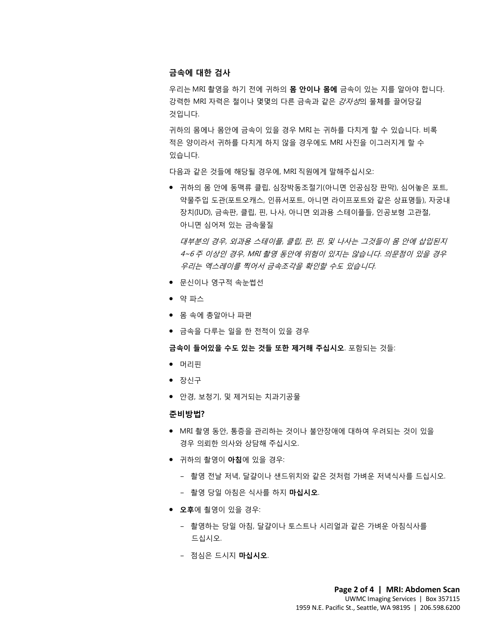### **금속에 대한 검사**

우리는 MRI 촬영을 하기 전에 귀하의 **몸 안이나 몸에** 금속이 있는 지를 알아야 합니다. 강력한 MRI 자력은 철이나 몇몇의 다른 금속과 같은 강자성의 물체를 끌어당길 것입니다.

귀하의 몸에나 몸안에 금속이 있을 경우 MRI 는 귀하를 다치게 할 수 있습니다. 비록 적은 양이라서 귀하를 다치게 하지 않을 경우에도 MRI 사진을 이그러지게 할 수 있습니다.

다음과 같은 것들에 해당될 경우에, MRI 직원에게 말해주십시오:

● 귀하의 몸 안에 동맥류 클립, 심장박동조절기(아니면 인공심장 판막), 심어놓은 포트,<br>약물주입 도관(포트오캐스, 인퓨서포트, 아니면 라이프포트와 같은 상표명들), 자궁내<br>장치(IUD), 금속판, 클립, 핀, 나사, 아니면 외과용 스테이플들, 인공보형 고관절,<br>아니면 심어져 있는 금속물질 약물주입 도관(포트오캐스, 인퓨서포트, 아니면 라이프포트와 같은 상표명들), 자궁내 장치(IUD), 금속판, 클립, 핀, 나사, 아니면 외과용 스테이플들, 인공보형 고관절, 아니면 심어져 있는 금속물질

영시(IOD), 금독판, 클립, 판, 다사, 아니먼 외파용 스테이클를, 인중모영 고판질,<br>아니면 심어져 있는 금속물질<br>*대부분의 경우, 외과용 스테이플, 클립, 판, 핀, 및 나사는 그것들이 몸 안에 삽입된<br>4~6 주 <i>이상인 경우, MRI 촬영 동안에 위험이 있지는 않습니다. 의문점이 있을 경<br>우리는 엑스레이를 찍어서 금속조각을 확인할 수도 있습니다.*<br>● *문*신이나 영구적 속눈썹선 대부분의 경우, 외과용 스테이플, 클립, 판, 핀, 및 나사는 그것들이 몸 안에 삽입된지 4~6 주 이상인 경우, MRI 촬영 동안에 위험이 있지는 않습니다. 의문점이 있을 경우 우리는 엑스레이를 찍어서 금속조각을 확인할 수도 있습니다.

- 문신이나 영구적 속눈썹선
- 약 파스
- 몸 속에 총알아나 파편
- 금속을 다루는 일을 한 전적이 있을 경우

*우리는 엑스레이를 찍어서 금속조각을 확인할 수도 있습니다.*<br>• 문신이나 영구적 속눈썹선<br>• 약 파스<br>• 몸 속에 총알아나 파편<br>• 금속을 다루는 일을 한 전적이 있을 경우<br>• 금속을 다루는 일을 한 전적이 있을 경우<br>**금속이 들어있을 수도 있는 것들 또한 제거해 주십시오**. 포함되는 것들: **금속이 들어있을 수도 있는 것들 또한 제거해 주십시오**. 포함되는 것들:

- 머리핀
- 장신구
- 안경, 보청기, 및 제거되는 치과기공물

#### **준비방법?**

- MRI 촬영 동안, 통증을 관리하는 것이나 불안장애에 대하여 우려되는 것이 있을 경우 의뢰한 의사와 상담해 주십시오.
- 귀하의 촬영이 **아침**에 있을 경우:
	- 촬영 전날 저녁, 달걀이나 샌드위치와 같은 것처럼 가벼운 저녁식사를 드십시오.
	- 촬영 당일 아침은 식사를 하지 **마십시오**.

 $\bot$  , and the set of the set of the set of the set of the set of the set of the set of the set of the set of the set of the set of the set of the set of the set of the set of the set of the set of the set of the set of t

- **오후**에 쵤영이 있을 경우:
	- 촬영하는 당일 아침, 달걀이나 토스트나 시리얼과 같은 가벼운 아침식사를 드십시오.
	- 점심은 드시지 **마십시오**.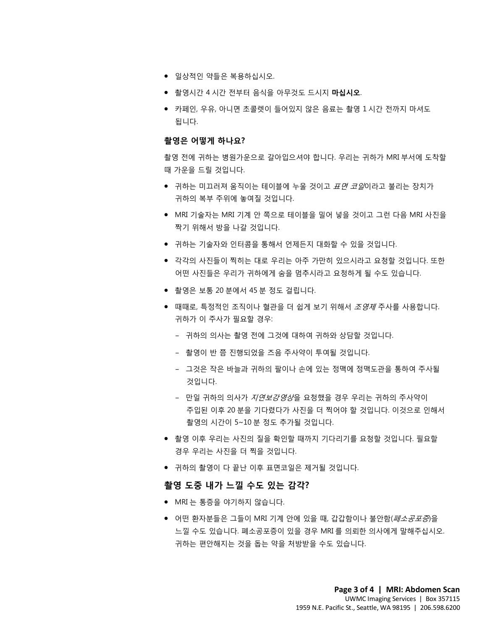- 일상적인 약들은 복용하십시오.
- 촬영시간 4 시간 전부터 음식을 아무것도 드시지 **마십시오**.
- 카페인, 우유, 아니면 초콜렛이 들어있지 않은 음료는 촬영 1 시간 전까지 마셔도 됩니다.

### **촬영은 어떻게 하나요?**

촬영 전에 귀하는 병원가운으로 갈아입으셔야 합니다. 우리는 귀하가 MRI 부서에 도착할 때 가운을 드릴 것입니다.

- 귀하는 미끄러져 움직이는 테이블에 누울 것이고 *표면 코일*이라고 불리는 장치가<br>- 귀하의 복부 주위에 놓여질 것입니다.<br>● MRI 기술자는 MRI 기계 안 쪽으로 테이블을 밀어 넣을 것이고 그런 다음 MRI 사진을<br>- 짜기 의해서 바을 나가 거인니다 ● 귀하는 미끄러져 움직이는 테이블에 누울 것이고 *표면 코일*이라고 불리는 장치가 귀하의 복부 주위에 놓여질 것입니다.
	- MRI 기술자는 MRI 기계 안 쪽으로 테이블을 밀어 넣을 것이고 그런 다음 MRI 사진을 짝기 위해서 방을 나갈 것입니다.
	- 귀하는 기술자와 인터콤을 통해서 언제든지 대화할 수 있을 것입니다.
	- MRI 기술자는 MRI 기계 안 쪽으로 테이블을 밀어 넣을 것이고 그런 다음 MRI 사진<br>짝기 위해서 방을 나갈 것입니다.<br>● 귀하는 기술자와 인터콤을 통해서 언제든지 대화할 수 있을 것입니다.<br>● 각각의 사진들이 찍히는 대로 우리는 아주 가만히 있으시라고 요청할 것입니다. 또<br>이떤 사진들은 우리가 귀하에게 숨을 멈추시라고 요청하게 될 수도 있습니다.<br>● 찰영은 보통 20 분에서 45 분 • 각각의 사진들이 찍히는 대로 우리는 아주 가만히 있으시라고 요청할 것입니다. 또한 어떤 사진들은 우리가 귀하에게 숨을 멈추시라고 요청하게 될 수도 있습니다.
		- 촬영은 보통 20 분에서 45 분 정도 걸립니다.
	- DRAFT ● 때때로, 특정적인 조직이나 혈관을 더 쉽게 보기 위해서 *조영제* 주사를 사용합니다. 귀하가 이 주사가 필요할 경우:
		- 귀하의 의사는 촬영 전에 그것에 대하여 귀하와 상담할 것입니다.
		- 촬영이 반 쯤 진행되었을 즈음 주사약이 투여될 것입니다.
		- 그것은 작은 바늘과 귀하의 팔이나 손에 있는 정맥에 정맥도관을 통하여 주사될 것입니다.
		- 만일 귀하의 의사가 지연보강영상을 요청했을 경우 우리는 귀하의 주사약이 주입된 이후 20 분을 기다렸다가 사진을 더 찍어야 할 것입니다. 이것으로 인해서 촬영의 시간이 5~10 분 정도 추가될 것입니다.
		- 촬영 이후 우리는 사진의 질을 확인할 때까지 기다리기를 요청할 것입니다. 필요할 경우 우리는 사진을 더 찍을 것입니다.
		- 귀하의 촬영이 다 끝난 이후 표면코일은 제거될 것입니다.

### **촬영 도중 내가 느낄 수도 있는 감각?**

 $\bot$  , and the set of the set of the set of the set of the set of the set of the set of the set of the set of the set of the set of the set of the set of the set of the set of the set of the set of the set of the set of t

- MRI 는 통증을 야기하지 않습니다.
- 어떤 환자분들은 그들이 MRI 기계 안에 있을 때, 갑갑함이나 불안함(*페소공포증*)을 느낄 수도 있습니다. 폐소공포증이 있을 경우 MRI 를 의뢰한 의사에게 말해주십시오. 귀하는 편안해지는 것을 돕는 약을 처방받을 수도 있습니다.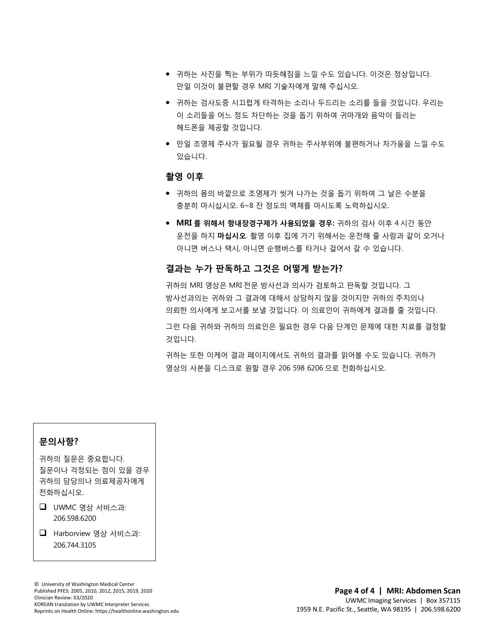- 귀하는 사진을 찍는 부위가 따듯해짐을 느낄 수도 있습니다. 이것은 정상입니다. 만일 이것이 불편할 경우 MRI 기술자에게 말해 주십시오.
- 귀하는 검사도중 시끄럽게 타격하는 소리나 두드리는 소리를 들을 것입니다. 우리는 이 소리들을 어느 정도 차단하는 것을 돕기 위하여 귀마개와 음악이 들리는 헤드폰을 제공할 것입니다.
- 만일 조영제 주사가 필요될 경우 귀하는 주사부위에 불편하거나 차가움을 느낄 수도 있습니다.

### **촬영 이후**

- ► マ ・・<br>● 귀하의 몸의 바깥으로 조영제가 씻겨 나가는 것을 돕기 위하여 그 날은 수분을<br>충분히 마시십시오. 6~8 잔 정도의 액체를 마시도록 노력하십시오.<br>● **MRI 를 위해서 항내장경구제가 사용되었을 경우:** 귀하의 검사 이후 4 시간 동안 • 귀하의 몸의 바깥으로 조영제가 씻겨 나가는 것을 돕기 위하여 그 날은 수분을 충분히 마시십시오. 6~8 잔 정도의 액체를 마시도록 노력하십시오.
	- MRI 를 위해서 항내장경구제가 사용되었을 경우: 귀하의 검사 이후 4 시간 동안<br>운전을 하지 **마십시오**. 촬영 이후 집에 가기 위해서는 운전해 줄 사람과 같이 오거!<br>아니면 버스나 택시, 아니면 순행버스를 타거나 걸어서 갈 수 있습니다.<br>**결과는 누가 판독하고 그것은 어떻게 받는가?**<br>귀하의 MRI 영상은 MRI 전문 방사선과 의사가 검토하고 판독할 것입니다. 그<br>방사선과의는 귀하와 그 운전을 하지 **마십시오**. 촬영 이후 집에 가기 위해서는 운전해 줄 사람과 같이 오거나 아니면 버스나 택시, 아니면 순행버스를 타거나 걸어서 갈 수 있습니다.

### **결과는 누가 판독하고 그것은 어떻게 받는가?**

 $\bot$  , and the set of the set of the set of the set of the set of the set of the set of the set of the set of the set of the set of the set of the set of the set of the set of the set of the set of the set of the set of t

**결과는 누가 판독하고 그것은 어떻게 받는가?**<br>귀하의 MRI 영상은 MRI 전문 방사선과 의사가 검토하고 판독할 것입니다. 그<br>방사선과의는 귀하와 그 결과에 대해서 상담하지 않을 것이지만 귀하의 주치의나<br>의뢰한 의사에게 보고서를 보낼 것입니다. 이 의료인이 귀하에게 결과를 줄 것입니다.<br>그런 다음 귀하와 귀하의 의료인은 필요한 경우 다음 단계인 문제에 대한 치료를 결정<br>것입니다.<br>거하는 또한 귀하의 MRI 영상은 MRI 전문 방사선과 의사가 검토하고 판독할 것입니다. 그 방사선과의는 귀하와 그 결과에 대해서 상담하지 않을 것이지만 귀하의 주치의나 의뢰한 의사에게 보고서를 보낼 것입니다. 이 의료인이 귀하에게 결과를 줄 것입니다.

그런 다음 귀하와 귀하의 의료인은 필요한 경우 다음 단계인 문제에 대한 치료를 결정할 것입니다.

귀하는 또한 이케어 결과 페이지에서도 귀하의 결과를 읽어볼 수도 있습니다. 귀하가 영상의 사본을 디스크로 원할 경우 206 598 6206 으로 전화하십시오.

### **문의사항?**

귀하의 질문은 중요합니다. 질문이나 걱정되는 점이 있을 경우 귀하의 담당의나 의료제공자에게 전화하십시오.

 UWMC 영상 서비스과: 206.598.6200

■ Harborview 영상 서비스과: 206.744.3105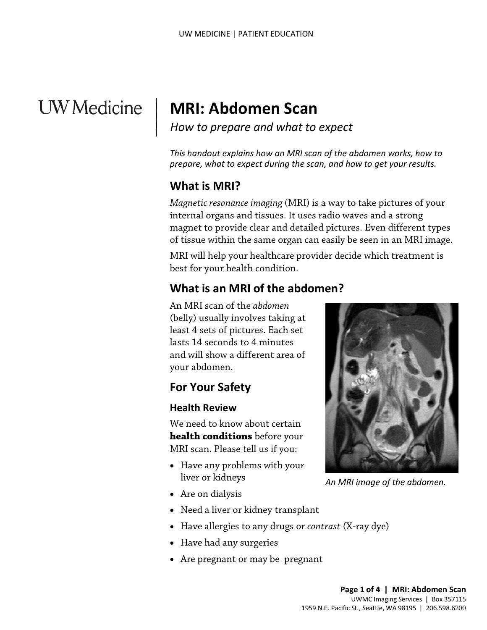# **UW** Medicine

# **MRI: Abdomen Scan**

*How to prepare and what to expect*

*This handout explains how an MRI scan of the abdomen works, how to prepare, what to expect during the scan, and how to get your results.*

# **What is MRI?**

|  $\vert$  $\vert$  $\vert$ 

magnet to provide clear and detailed pictures. Even different typed tissue within the same organ can easily be seen in an MRI image.<br>MRI will help your healthcare provider decide which treatment is<br>best for your health con *Magnetic resonance imaging* (MRI) is a way to take pictures of your internal organs and tissues. It uses radio waves and a strong magnet to provide clear and detailed pictures. Even different types of tissue within the same organ can easily be seen in an MRI image.

MRI will help your healthcare provider decide which treatment is best for your health condition.

# **What is an MRI of the abdomen?**

An MRI scan of the *abdomen* (belly) usually involves taking at least 4 sets of pictures. Each set lasts 14 seconds to 4 minutes and will show a different area of your abdomen.

# **For Your Safety**

### **Health Review**

We need to know about certain **health conditions** before your MRI scan. Please tell us if you:

- Have any problems with your liver or kidneys
- Are on dialysis
- Need a liver or kidney transplant
- Have allergies to any drugs or *contrast* (X-ray dye)
- Have had any surgeries
- Are pregnant or may be pregnant

 $\_$  ,  $\_$  ,  $\_$  ,  $\_$  ,  $\_$  ,  $\_$  ,  $\_$  ,  $\_$  ,  $\_$  ,  $\_$  ,  $\_$  ,  $\_$  ,  $\_$  ,  $\_$  ,  $\_$  ,  $\_$  ,  $\_$  ,  $\_$  ,  $\_$  ,  $\_$  ,  $\_$  ,  $\_$  ,  $\_$  ,  $\_$  ,  $\_$  ,  $\_$  ,  $\_$  ,  $\_$  ,  $\_$  ,  $\_$  ,  $\_$  ,  $\_$  ,  $\_$  ,  $\_$  ,  $\_$  ,  $\_$  ,  $\_$  ,



*An MRI image of the abdomen.*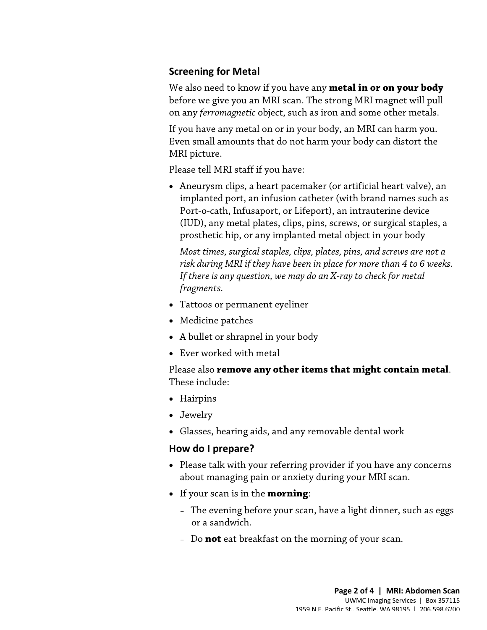# **Screening for Metal**

We also need to know if you have any **metal in or on your body** before we give you an MRI scan. The strong MRI magnet will pull on any *ferromagnetic* object, such as iron and some other metals.

If you have any metal on or in your body, an MRI can harm you. Even small amounts that do not harm your body can distort the MRI picture.

Please tell MRI staff if you have:

• Aneurysm clips, a heart pacemaker (or artificial heart valve), an implanted port, an infusion catheter (with brand names such as Port-o-cath, Infusaport, or Lifeport), an intrauterine device (IUD), any metal plates, clips, pins, screws, or surgical staples, a prosthetic hip, or any implanted metal object in your body

(IUD), any metal plates, clips, pins, screws, or surgical staples,<br>prosthetic hip, or any implanted metal object in your body<br>Most times, surgical staples, clips, plates, pins, and screws are not<br>risk during MRI if they ha *Most times, surgical staples, clips, plates, pins, and screws are not a risk during MRI if they have been in place for more than 4 to 6 weeks. If there is any question, we may do an X-ray to check for metal fragments.* 

- Tattoos or permanent eyeliner
- Medicine patches
- A bullet or shrapnel in your body
- Ever worked with metal

Please also **remove any other items that might contain metal**. These include:

- Hairpins
- Jewelry
- Glasses, hearing aids, and any removable dental work

### **How do I prepare?**

- Please talk with your referring provider if you have any concerns about managing pain or anxiety during your MRI scan.
- If your scan is in the **morning**:

 $\bot$  , and the state of the state of the state of the state of the state of the state of the state of the state of the state of the state of the state of the state of the state of the state of the state of the state of th

- The evening before your scan, have a light dinner, such as eggs or a sandwich.
- Do **not** eat breakfast on the morning of your scan.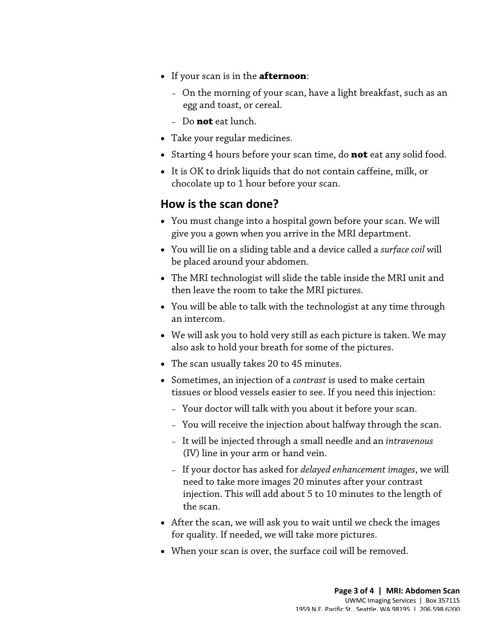- If your scan is in the **afternoon**:
	- On the morning of your scan, have a light breakfast, such as an egg and toast, or cereal.
	- Do **not** eat lunch.
- Take your regular medicines.
- Starting 4 hours before your scan time, do **not** eat any solid food.
- It is OK to drink liquids that do not contain caffeine, milk, or chocolate up to 1 hour before your scan.

# **How is the scan done?**

- You must change into a hospital gown before your scan. We will give you a gown when you arrive in the MRI department.
- You will lie on a sliding table and a device called a *surface coil* will be placed around your abdomen.
- You must change into a hospital gown before your scan. We will<br>give you a gown when you arrive in the MRI department.<br>• You will lie on a sliding table and a device called a *surface coil* wil<br>be placed around your abdom • The MRI technologist will slide the table inside the MRI unit and then leave the room to take the MRI pictures.
	- You will be able to talk with the [technologist](javascript:glossAry() at any time through an intercom.
	- We will ask you to hold very still as each picture is taken. We may also ask to hold your breath for some of the pictures.
	- The scan usually takes 20 to 45 minutes.
	- Sometimes, an injection of a *[contrast](javascript:glossAry()* is used to make certain tissues or blood vessels easier to see. If you need this injection:
		- Your doctor will talk with you about it before your scan.
		- You will receive the injection about halfway through the scan.
		- It will be injected through a small needle and an *intravenous* (IV) line in your arm or hand vein.
		- If your doctor has asked for *delayed enhancement images*, we will need to take more images 20 minutes after your contrast injection. This will add about 5 to 10 minutes to the length of the scan.
	- After the scan, we will ask you to wait until we check the images for quality. If needed, we will take more pictures.
	- When your scan is over, the surface coil will be removed.

 $\bot$  , and the state of the state of the state of the state of the state of the state of the state of the state of the state of the state of the state of the state of the state of the state of the state of the state of th